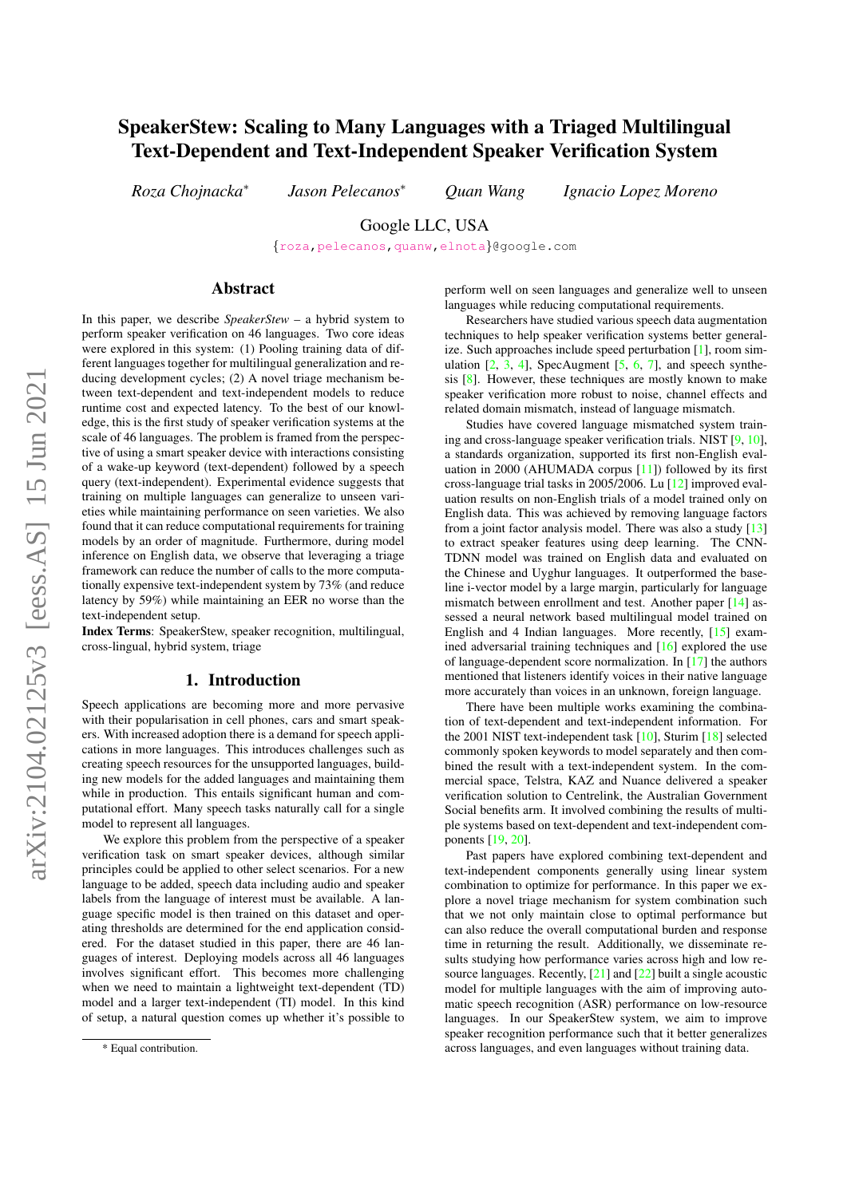# SpeakerStew: Scaling to Many Languages with a Triaged Multilingual Text-Dependent and Text-Independent Speaker Verification System

*Roza Chojnacka*<sup>∗</sup>

*Jason Pelecanos*<sup>∗</sup> *Quan Wang Ignacio Lopez Moreno*

Google LLC, USA

{[roza](mailto:roza@google.com)[,pelecanos,](mailto:pelecanos@google.com)[quanw](mailto:quanw@google.com)[,elnota](mailto:elnota@google.com)}@google.com

# Abstract

In this paper, we describe *SpeakerStew* – a hybrid system to perform speaker verification on 46 languages. Two core ideas were explored in this system: (1) Pooling training data of different languages together for multilingual generalization and reducing development cycles; (2) A novel triage mechanism between text-dependent and text-independent models to reduce runtime cost and expected latency. To the best of our knowledge, this is the first study of speaker verification systems at the scale of 46 languages. The problem is framed from the perspective of using a smart speaker device with interactions consisting of a wake-up keyword (text-dependent) followed by a speech query (text-independent). Experimental evidence suggests that training on multiple languages can generalize to unseen varieties while maintaining performance on seen varieties. We also found that it can reduce computational requirements for training models by an order of magnitude. Furthermore, during model inference on English data, we observe that leveraging a triage framework can reduce the number of calls to the more computationally expensive text-independent system by 73% (and reduce latency by 59%) while maintaining an EER no worse than the text-independent setup.

Index Terms: SpeakerStew, speaker recognition, multilingual, cross-lingual, hybrid system, triage

## 1. Introduction

Speech applications are becoming more and more pervasive with their popularisation in cell phones, cars and smart speakers. With increased adoption there is a demand for speech applications in more languages. This introduces challenges such as creating speech resources for the unsupported languages, building new models for the added languages and maintaining them while in production. This entails significant human and computational effort. Many speech tasks naturally call for a single model to represent all languages.

We explore this problem from the perspective of a speaker verification task on smart speaker devices, although similar principles could be applied to other select scenarios. For a new language to be added, speech data including audio and speaker labels from the language of interest must be available. A language specific model is then trained on this dataset and operating thresholds are determined for the end application considered. For the dataset studied in this paper, there are 46 languages of interest. Deploying models across all 46 languages involves significant effort. This becomes more challenging when we need to maintain a lightweight text-dependent (TD) model and a larger text-independent (TI) model. In this kind of setup, a natural question comes up whether it's possible to perform well on seen languages and generalize well to unseen languages while reducing computational requirements.

Researchers have studied various speech data augmentation techniques to help speaker verification systems better generalize. Such approaches include speed perturbation [\[1\]](#page-4-0), room simulation  $[2, 3, 4]$  $[2, 3, 4]$  $[2, 3, 4]$  $[2, 3, 4]$  $[2, 3, 4]$ , SpecAugment  $[5, 6, 7]$  $[5, 6, 7]$  $[5, 6, 7]$  $[5, 6, 7]$  $[5, 6, 7]$ , and speech synthesis [\[8\]](#page-4-7). However, these techniques are mostly known to make speaker verification more robust to noise, channel effects and related domain mismatch, instead of language mismatch.

Studies have covered language mismatched system training and cross-language speaker verification trials. NIST [\[9,](#page-4-8) [10\]](#page-4-9), a standards organization, supported its first non-English evaluation in 2000 (AHUMADA corpus [\[11\]](#page-4-10)) followed by its first cross-language trial tasks in 2005/2006. Lu [\[12\]](#page-4-11) improved evaluation results on non-English trials of a model trained only on English data. This was achieved by removing language factors from a joint factor analysis model. There was also a study [\[13\]](#page-4-12) to extract speaker features using deep learning. The CNN-TDNN model was trained on English data and evaluated on the Chinese and Uyghur languages. It outperformed the baseline i-vector model by a large margin, particularly for language mismatch between enrollment and test. Another paper [\[14\]](#page-4-13) assessed a neural network based multilingual model trained on English and 4 Indian languages. More recently, [\[15\]](#page-4-14) examined adversarial training techniques and [\[16\]](#page-4-15) explored the use of language-dependent score normalization. In [\[17\]](#page-4-16) the authors mentioned that listeners identify voices in their native language more accurately than voices in an unknown, foreign language.

There have been multiple works examining the combination of text-dependent and text-independent information. For the 2001 NIST text-independent task [\[10\]](#page-4-9), Sturim [\[18\]](#page-4-17) selected commonly spoken keywords to model separately and then combined the result with a text-independent system. In the commercial space, Telstra, KAZ and Nuance delivered a speaker verification solution to Centrelink, the Australian Government Social benefits arm. It involved combining the results of multiple systems based on text-dependent and text-independent components [\[19,](#page-4-18) [20\]](#page-4-19).

Past papers have explored combining text-dependent and text-independent components generally using linear system combination to optimize for performance. In this paper we explore a novel triage mechanism for system combination such that we not only maintain close to optimal performance but can also reduce the overall computational burden and response time in returning the result. Additionally, we disseminate results studying how performance varies across high and low resource languages. Recently, [\[21\]](#page-4-20) and [\[22\]](#page-4-21) built a single acoustic model for multiple languages with the aim of improving automatic speech recognition (ASR) performance on low-resource languages. In our SpeakerStew system, we aim to improve speaker recognition performance such that it better generalizes across languages, and even languages without training data.

<sup>\*</sup> Equal contribution.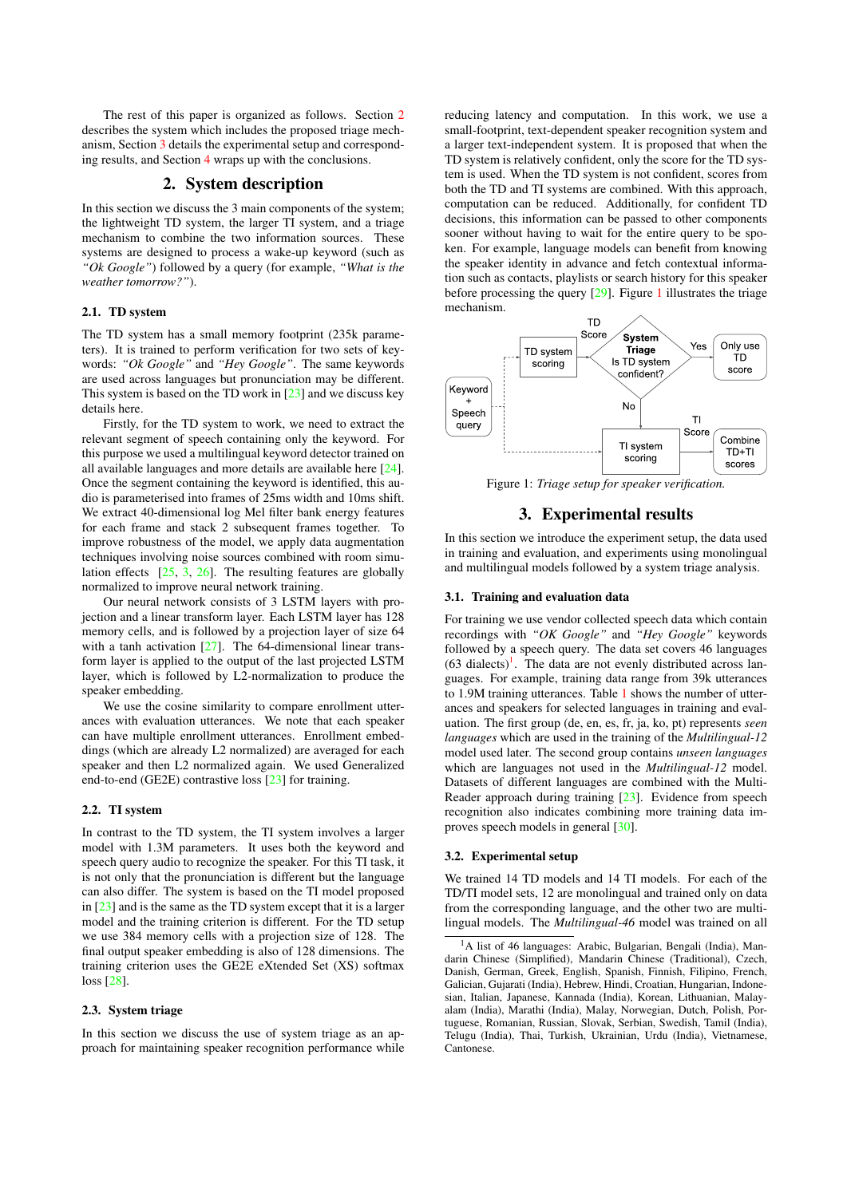The rest of this paper is organized as follows. Section [2](#page-1-0) describes the system which includes the proposed triage mechanism, Section [3](#page-1-1) details the experimental setup and corresponding results, and Section [4](#page-3-0) wraps up with the conclusions.

# 2. System description

<span id="page-1-0"></span>In this section we discuss the 3 main components of the system; the lightweight TD system, the larger TI system, and a triage mechanism to combine the two information sources. These systems are designed to process a wake-up keyword (such as *"Ok Google"*) followed by a query (for example, *"What is the weather tomorrow?"*).

### 2.1. TD system

The TD system has a small memory footprint (235k parameters). It is trained to perform verification for two sets of keywords: *"Ok Google"* and *"Hey Google"*. The same keywords are used across languages but pronunciation may be different. This system is based on the TD work in  $[23]$  and we discuss key details here.

Firstly, for the TD system to work, we need to extract the relevant segment of speech containing only the keyword. For this purpose we used a multilingual keyword detector trained on all available languages and more details are available here [\[24\]](#page-4-23). Once the segment containing the keyword is identified, this audio is parameterised into frames of 25ms width and 10ms shift. We extract 40-dimensional log Mel filter bank energy features for each frame and stack 2 subsequent frames together. To improve robustness of the model, we apply data augmentation techniques involving noise sources combined with room simulation effects [\[25,](#page-4-24) [3,](#page-4-2) [26\]](#page-4-25). The resulting features are globally normalized to improve neural network training.

Our neural network consists of 3 LSTM layers with projection and a linear transform layer. Each LSTM layer has 128 memory cells, and is followed by a projection layer of size 64 with a tanh activation [\[27\]](#page-4-26). The 64-dimensional linear transform layer is applied to the output of the last projected LSTM layer, which is followed by L2-normalization to produce the speaker embedding.

We use the cosine similarity to compare enrollment utterances with evaluation utterances. We note that each speaker can have multiple enrollment utterances. Enrollment embeddings (which are already L2 normalized) are averaged for each speaker and then L2 normalized again. We used Generalized end-to-end (GE2E) contrastive loss [\[23\]](#page-4-22) for training.

### 2.2. TI system

In contrast to the TD system, the TI system involves a larger model with 1.3M parameters. It uses both the keyword and speech query audio to recognize the speaker. For this TI task, it is not only that the pronunciation is different but the language can also differ. The system is based on the TI model proposed in [\[23\]](#page-4-22) and is the same as the TD system except that it is a larger model and the training criterion is different. For the TD setup we use 384 memory cells with a projection size of 128. The final output speaker embedding is also of 128 dimensions. The training criterion uses the GE2E eXtended Set (XS) softmax loss [\[28\]](#page-4-27).

#### 2.3. System triage

In this section we discuss the use of system triage as an approach for maintaining speaker recognition performance while

reducing latency and computation. In this work, we use a small-footprint, text-dependent speaker recognition system and a larger text-independent system. It is proposed that when the TD system is relatively confident, only the score for the TD system is used. When the TD system is not confident, scores from both the TD and TI systems are combined. With this approach, computation can be reduced. Additionally, for confident TD decisions, this information can be passed to other components sooner without having to wait for the entire query to be spoken. For example, language models can benefit from knowing the speaker identity in advance and fetch contextual information such as contacts, playlists or search history for this speaker before processing the query [\[29\]](#page-4-28). Figure [1](#page-1-2) illustrates the triage mechanism.

<span id="page-1-2"></span>

Figure 1: *Triage setup for speaker verification.*

# 3. Experimental results

<span id="page-1-1"></span>In this section we introduce the experiment setup, the data used in training and evaluation, and experiments using monolingual and multilingual models followed by a system triage analysis.

### 3.1. Training and evaluation data

For training we use vendor collected speech data which contain recordings with *"OK Google"* and *"Hey Google"* keywords followed by a speech query. The data set covers 46 languages  $(63 \text{ dialects})^1$  $(63 \text{ dialects})^1$ . The data are not evenly distributed across languages. For example, training data range from 39k utterances to 1.9M training utterances. Table [1](#page-2-0) shows the number of utterances and speakers for selected languages in training and evaluation. The first group (de, en, es, fr, ja, ko, pt) represents *seen languages* which are used in the training of the *Multilingual-12* model used later. The second group contains *unseen languages* which are languages not used in the *Multilingual-12* model. Datasets of different languages are combined with the Multi-Reader approach during training [\[23\]](#page-4-22). Evidence from speech recognition also indicates combining more training data improves speech models in general [\[30\]](#page-4-29).

#### 3.2. Experimental setup

We trained 14 TD models and 14 TI models. For each of the TD/TI model sets, 12 are monolingual and trained only on data from the corresponding language, and the other two are multilingual models. The *Multilingual-46* model was trained on all

<span id="page-1-3"></span><sup>&</sup>lt;sup>1</sup>A list of 46 languages: Arabic, Bulgarian, Bengali (India), Mandarin Chinese (Simplified), Mandarin Chinese (Traditional), Czech, Danish, German, Greek, English, Spanish, Finnish, Filipino, French, Galician, Gujarati (India), Hebrew, Hindi, Croatian, Hungarian, Indonesian, Italian, Japanese, Kannada (India), Korean, Lithuanian, Malayalam (India), Marathi (India), Malay, Norwegian, Dutch, Polish, Portuguese, Romanian, Russian, Slovak, Serbian, Swedish, Tamil (India), Telugu (India), Thai, Turkish, Ukrainian, Urdu (India), Vietnamese, Cantonese.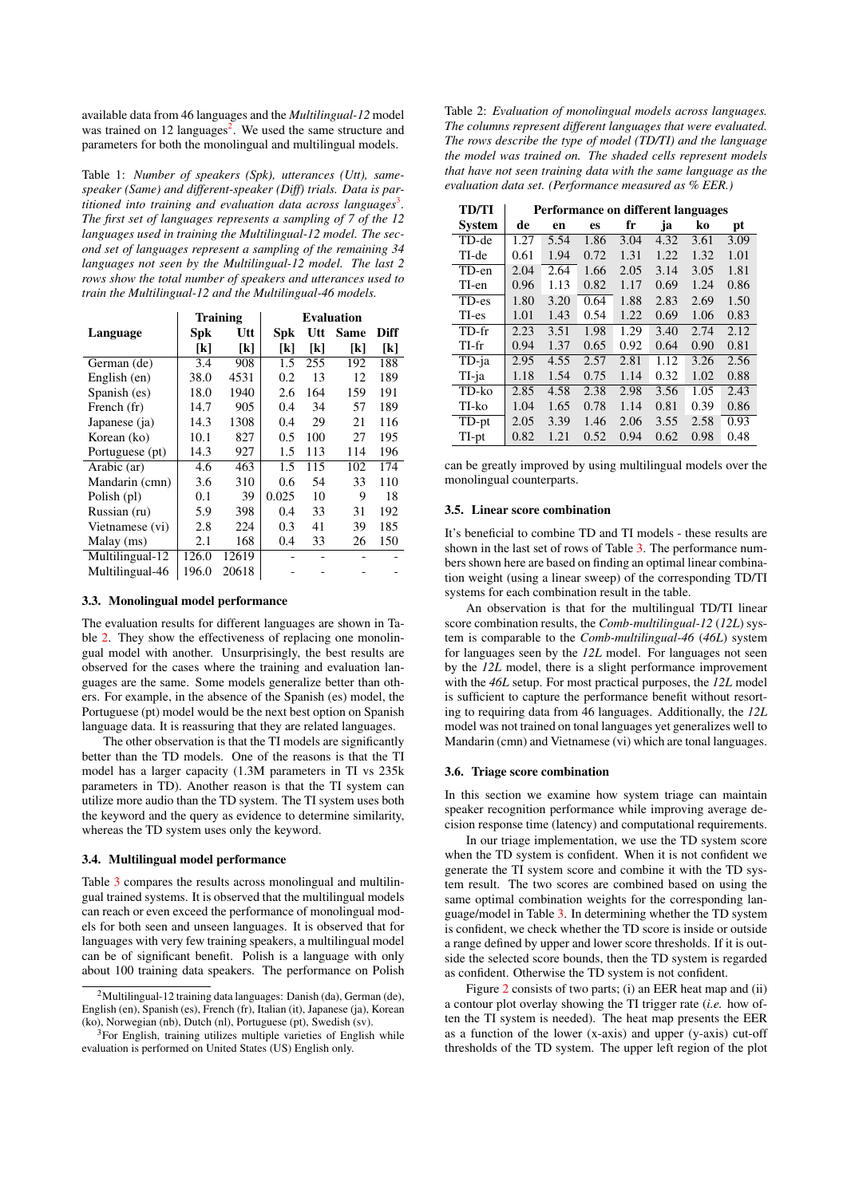available data from 46 languages and the *Multilingual-12* model was trained on 1[2](#page-2-1) languages<sup>2</sup>. We used the same structure and parameters for both the monolingual and multilingual models.

<span id="page-2-0"></span>Table 1: *Number of speakers (Spk), utterances (Utt), samespeaker (Same) and different-speaker (Diff) trials. Data is partitioned into training and evaluation data across languages*[3](#page-2-2) *. The first set of languages represents a sampling of 7 of the 12 languages used in training the Multilingual-12 model. The second set of languages represent a sampling of the remaining 34 languages not seen by the Multilingual-12 model. The last 2 rows show the total number of speakers and utterances used to train the Multilingual-12 and the Multilingual-46 models.*

|                 |       | <b>Training</b> | <b>Evaluation</b> |     |             |      |  |  |  |
|-----------------|-------|-----------------|-------------------|-----|-------------|------|--|--|--|
| Language        | Spk   | Utt             | Spk               | Utt | <b>Same</b> | Diff |  |  |  |
|                 | [k]   | [k]             | [k]               | [k] | [k]         | [k]  |  |  |  |
| German (de)     | 3.4   | 908             | 1.5               | 255 | 192         | 188  |  |  |  |
| English (en)    | 38.0  | 4531            | 0.2               | 13  | 12          | 189  |  |  |  |
| Spanish (es)    | 18.0  | 1940            | 2.6               | 164 | 159         | 191  |  |  |  |
| French (fr)     | 14.7  | 905             | 0.4               | 34  | 57          | 189  |  |  |  |
| Japanese (ja)   | 14.3  | 1308            | 0.4               | 29  | 21          | 116  |  |  |  |
| Korean (ko)     | 10.1  | 827             | 0.5               | 100 | 27          | 195  |  |  |  |
| Portuguese (pt) | 14.3  | 927             | 1.5               | 113 | 114         | 196  |  |  |  |
| Arabic (ar)     | 4.6   | 463             | 1.5               | 115 | 102         | 174  |  |  |  |
| Mandarin (cmn)  | 3.6   | 310             | 0.6               | 54  | 33          | 110  |  |  |  |
| Polish (pl)     | 0.1   | 39              | 0.025             | 10  | 9           | 18   |  |  |  |
| Russian (ru)    | 5.9   | 398             | 0.4               | 33  | 31          | 192  |  |  |  |
| Vietnamese (vi) | 2.8   | 224             | 0.3               | 41  | 39          | 185  |  |  |  |
| Malay (ms)      | 2.1   | 168             | 0.4               | 33  | 26          | 150  |  |  |  |
| Multilingual-12 | 126.0 | 12619           |                   |     |             |      |  |  |  |
| Multilingual-46 | 196.0 | 20618           |                   |     |             |      |  |  |  |

### 3.3. Monolingual model performance

The evaluation results for different languages are shown in Table [2.](#page-2-3) They show the effectiveness of replacing one monolingual model with another. Unsurprisingly, the best results are observed for the cases where the training and evaluation languages are the same. Some models generalize better than others. For example, in the absence of the Spanish (es) model, the Portuguese (pt) model would be the next best option on Spanish language data. It is reassuring that they are related languages.

The other observation is that the TI models are significantly better than the TD models. One of the reasons is that the TI model has a larger capacity (1.3M parameters in TI vs 235k parameters in TD). Another reason is that the TI system can utilize more audio than the TD system. The TI system uses both the keyword and the query as evidence to determine similarity, whereas the TD system uses only the keyword.

#### 3.4. Multilingual model performance

Table [3](#page-3-1) compares the results across monolingual and multilingual trained systems. It is observed that the multilingual models can reach or even exceed the performance of monolingual models for both seen and unseen languages. It is observed that for languages with very few training speakers, a multilingual model can be of significant benefit. Polish is a language with only about 100 training data speakers. The performance on Polish

<span id="page-2-3"></span>Table 2: *Evaluation of monolingual models across languages. The columns represent different languages that were evaluated. The rows describe the type of model (TD/TI) and the language the model was trained on. The shaded cells represent models that have not seen training data with the same language as the evaluation data set. (Performance measured as % EER.)*

| <b>TD/TI</b>  | Performance on different languages |      |      |      |      |      |      |  |  |  |
|---------------|------------------------------------|------|------|------|------|------|------|--|--|--|
| <b>System</b> | de                                 | en   | es   | fr   | ja   | ko   | pt   |  |  |  |
| TD-de         | 1.27                               | 5.54 | 1.86 | 3.04 | 4.32 | 3.61 | 3.09 |  |  |  |
| TI-de         | 0.61                               | 1.94 | 0.72 | 1.31 | 1.22 | 1.32 | 1.01 |  |  |  |
| TD-en         | 2.04                               | 2.64 | 1.66 | 2.05 | 3.14 | 3.05 | 1.81 |  |  |  |
| TI-en         | 0.96                               | 1.13 | 0.82 | 1.17 | 0.69 | 1.24 | 0.86 |  |  |  |
| TD-es         | 1.80                               | 3.20 | 0.64 | 1.88 | 2.83 | 2.69 | 1.50 |  |  |  |
| TI-es         | 1.01                               | 1.43 | 0.54 | 1.22 | 0.69 | 1.06 | 0.83 |  |  |  |
| TD-fr         | 2.23                               | 3.51 | 1.98 | 1.29 | 3.40 | 2.74 | 2.12 |  |  |  |
| TI-fr         | 0.94                               | 1.37 | 0.65 | 0.92 | 0.64 | 0.90 | 0.81 |  |  |  |
| TD-ja         | 2.95                               | 4.55 | 2.57 | 2.81 | 1.12 | 3.26 | 2.56 |  |  |  |
| TI-ja         | 1.18                               | 1.54 | 0.75 | 1.14 | 0.32 | 1.02 | 0.88 |  |  |  |
| TD-ko         | 2.85                               | 4.58 | 2.38 | 2.98 | 3.56 | 1.05 | 2.43 |  |  |  |
| TI-ko         | 1.04                               | 1.65 | 0.78 | 1.14 | 0.81 | 0.39 | 0.86 |  |  |  |
| TD-pt         | 2.05                               | 3.39 | 1.46 | 2.06 | 3.55 | 2.58 | 0.93 |  |  |  |
| TI-pt         | 0.82                               | 1.21 | 0.52 | 0.94 | 0.62 | 0.98 | 0.48 |  |  |  |

can be greatly improved by using multilingual models over the monolingual counterparts.

#### 3.5. Linear score combination

It's beneficial to combine TD and TI models - these results are shown in the last set of rows of Table [3.](#page-3-1) The performance numbers shown here are based on finding an optimal linear combination weight (using a linear sweep) of the corresponding TD/TI systems for each combination result in the table.

An observation is that for the multilingual TD/TI linear score combination results, the *Comb-multilingual-12* (*12L*) system is comparable to the *Comb-multilingual-46* (*46L*) system for languages seen by the *12L* model. For languages not seen by the *12L* model, there is a slight performance improvement with the *46L* setup. For most practical purposes, the *12L* model is sufficient to capture the performance benefit without resorting to requiring data from 46 languages. Additionally, the *12L* model was not trained on tonal languages yet generalizes well to Mandarin (cmn) and Vietnamese (vi) which are tonal languages.

#### 3.6. Triage score combination

In this section we examine how system triage can maintain speaker recognition performance while improving average decision response time (latency) and computational requirements.

In our triage implementation, we use the TD system score when the TD system is confident. When it is not confident we generate the TI system score and combine it with the TD system result. The two scores are combined based on using the same optimal combination weights for the corresponding language/model in Table [3.](#page-3-1) In determining whether the TD system is confident, we check whether the TD score is inside or outside a range defined by upper and lower score thresholds. If it is outside the selected score bounds, then the TD system is regarded as confident. Otherwise the TD system is not confident.

Figure [2](#page-3-2) consists of two parts; (i) an EER heat map and (ii) a contour plot overlay showing the TI trigger rate (*i.e.* how often the TI system is needed). The heat map presents the EER as a function of the lower  $(x-axis)$  and upper  $(y-axis)$  cut-off thresholds of the TD system. The upper left region of the plot

<span id="page-2-1"></span><sup>2</sup>Multilingual-12 training data languages: Danish (da), German (de), English (en), Spanish (es), French (fr), Italian (it), Japanese (ja), Korean (ko), Norwegian (nb), Dutch (nl), Portuguese (pt), Swedish (sv).

<span id="page-2-2"></span><sup>&</sup>lt;sup>3</sup>For English, training utilizes multiple varieties of English while evaluation is performed on United States (US) English only.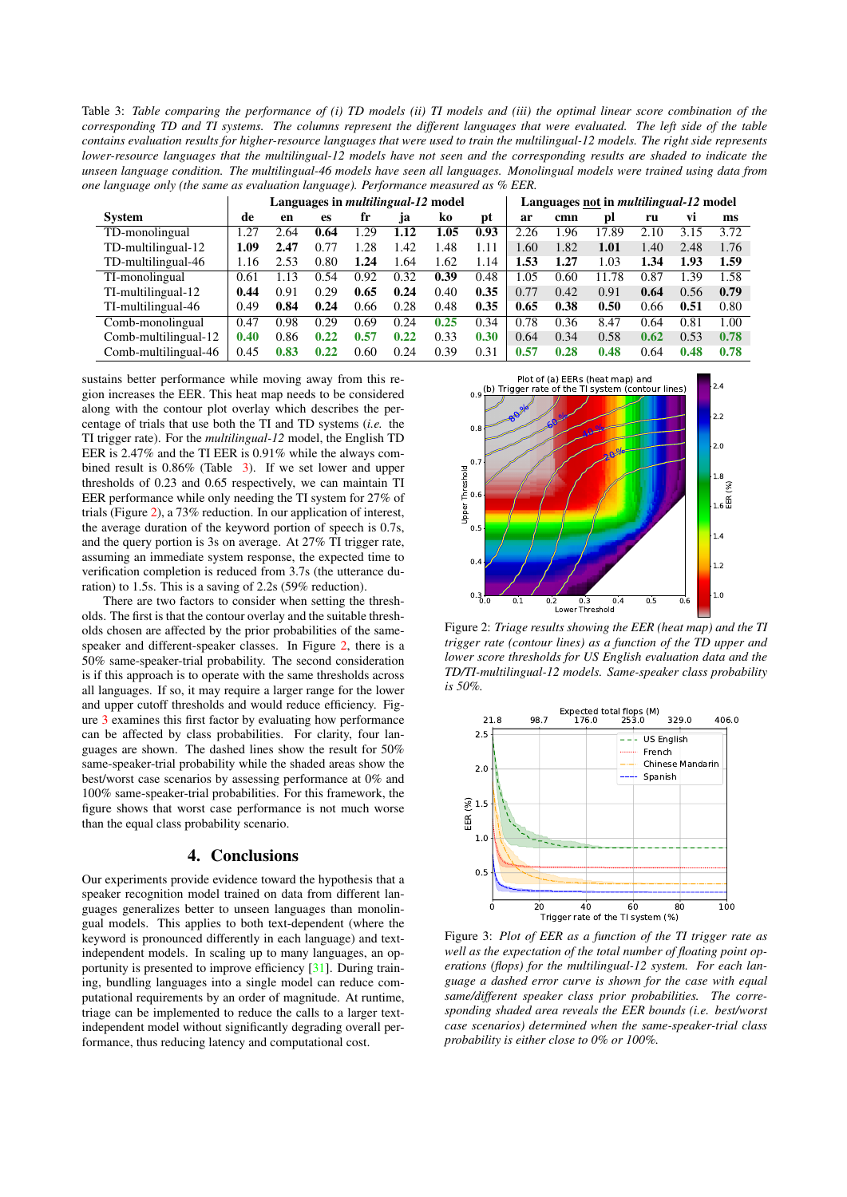<span id="page-3-1"></span>Table 3: *Table comparing the performance of (i) TD models (ii) TI models and (iii) the optimal linear score combination of the corresponding TD and TI systems. The columns represent the different languages that were evaluated. The left side of the table contains evaluation results for higher-resource languages that were used to train the multilingual-12 models. The right side represents lower-resource languages that the multilingual-12 models have not seen and the corresponding results are shaded to indicate the unseen language condition. The multilingual-46 models have seen all languages. Monolingual models were trained using data from one language only (the same as evaluation language). Performance measured as % EER.*

|                      | Languages in <i>multilingual-12</i> model |      |      |      |      |      | Languages not in <i>multilingual-12</i> model |      |      |       |      |      |      |
|----------------------|-------------------------------------------|------|------|------|------|------|-----------------------------------------------|------|------|-------|------|------|------|
| <b>System</b>        | de                                        | en   | es   | fr   | ]a   | ko   | pt                                            | ar   | cmn  | DI    | ru   | Vl   | ms   |
| TD-monolingual       | 1.27                                      | 2.64 | 0.64 | 1.29 | 1.12 | 1.05 | 0.93                                          | 2.26 | 1.96 | 17.89 | 2.10 | 3.15 | 3.72 |
| TD-multilingual-12   | 1.09                                      | 2.47 | 0.77 | 1.28 | 1.42 | 1.48 | 1.11                                          | .60  | 1.82 | 1.01  | 1.40 | 2.48 | 1.76 |
| TD-multilingual-46   | 1.16                                      | 2.53 | 0.80 | 1.24 | .64  | 1.62 | 1.14                                          | .53  | 1.27 | 1.03  | 1.34 | 1.93 | 1.59 |
| TI-monolingual       | 0.61                                      | 1.13 | 0.54 | 0.92 | 0.32 | 0.39 | 0.48                                          | .05  | 0.60 | 11.78 | 0.87 | 1.39 | 1.58 |
| TI-multilingual-12   | 0.44                                      | 0.91 | 0.29 | 0.65 | 0.24 | 0.40 | 0.35                                          | 0.77 | 0.42 | 0.91  | 0.64 | 0.56 | 0.79 |
| TI-multilingual-46   | 0.49                                      | 0.84 | 0.24 | 0.66 | 0.28 | 0.48 | 0.35                                          | 0.65 | 0.38 | 0.50  | 0.66 | 0.51 | 0.80 |
| Comb-monolingual     | 0.47                                      | 0.98 | 0.29 | 0.69 | 0.24 | 0.25 | 0.34                                          | 0.78 | 0.36 | 8.47  | 0.64 | 0.81 | 1.00 |
| Comb-multilingual-12 | 0.40                                      | 0.86 | 0.22 | 0.57 | 0.22 | 0.33 | 0.30                                          | 0.64 | 0.34 | 0.58  | 0.62 | 0.53 | 0.78 |
| Comb-multilingual-46 | 0.45                                      | 0.83 | 0.22 | 0.60 | 0.24 | 0.39 | 0.31                                          | 0.57 | 0.28 | 0.48  | 0.64 | 0.48 | 0.78 |

sustains better performance while moving away from this region increases the EER. This heat map needs to be considered along with the contour plot overlay which describes the percentage of trials that use both the TI and TD systems (*i.e.* the TI trigger rate). For the *multilingual-12* model, the English TD EER is 2.47% and the TI EER is 0.91% while the always combined result is 0.86% (Table [3\)](#page-3-1). If we set lower and upper thresholds of 0.23 and 0.65 respectively, we can maintain TI EER performance while only needing the TI system for 27% of trials (Figure [2\)](#page-3-2), a 73% reduction. In our application of interest, the average duration of the keyword portion of speech is 0.7s, and the query portion is 3s on average. At 27% TI trigger rate, assuming an immediate system response, the expected time to verification completion is reduced from 3.7s (the utterance duration) to 1.5s. This is a saving of 2.2s (59% reduction).

There are two factors to consider when setting the thresholds. The first is that the contour overlay and the suitable thresholds chosen are affected by the prior probabilities of the samespeaker and different-speaker classes. In Figure [2,](#page-3-2) there is a 50% same-speaker-trial probability. The second consideration is if this approach is to operate with the same thresholds across all languages. If so, it may require a larger range for the lower and upper cutoff thresholds and would reduce efficiency. Figure [3](#page-3-3) examines this first factor by evaluating how performance can be affected by class probabilities. For clarity, four languages are shown. The dashed lines show the result for 50% same-speaker-trial probability while the shaded areas show the best/worst case scenarios by assessing performance at 0% and 100% same-speaker-trial probabilities. For this framework, the figure shows that worst case performance is not much worse than the equal class probability scenario.

### 4. Conclusions

<span id="page-3-0"></span>Our experiments provide evidence toward the hypothesis that a speaker recognition model trained on data from different languages generalizes better to unseen languages than monolingual models. This applies to both text-dependent (where the keyword is pronounced differently in each language) and textindependent models. In scaling up to many languages, an opportunity is presented to improve efficiency [\[31\]](#page-4-30). During training, bundling languages into a single model can reduce computational requirements by an order of magnitude. At runtime, triage can be implemented to reduce the calls to a larger textindependent model without significantly degrading overall performance, thus reducing latency and computational cost.

<span id="page-3-2"></span>

Figure 2: *Triage results showing the EER (heat map) and the TI trigger rate (contour lines) as a function of the TD upper and lower score thresholds for US English evaluation data and the TD/TI-multilingual-12 models. Same-speaker class probability is 50%.*

<span id="page-3-3"></span>

Figure 3: *Plot of EER as a function of the TI trigger rate as well as the expectation of the total number of floating point operations (flops) for the multilingual-12 system. For each language a dashed error curve is shown for the case with equal same/different speaker class prior probabilities. The corresponding shaded area reveals the EER bounds (i.e. best/worst case scenarios) determined when the same-speaker-trial class probability is either close to 0% or 100%.*